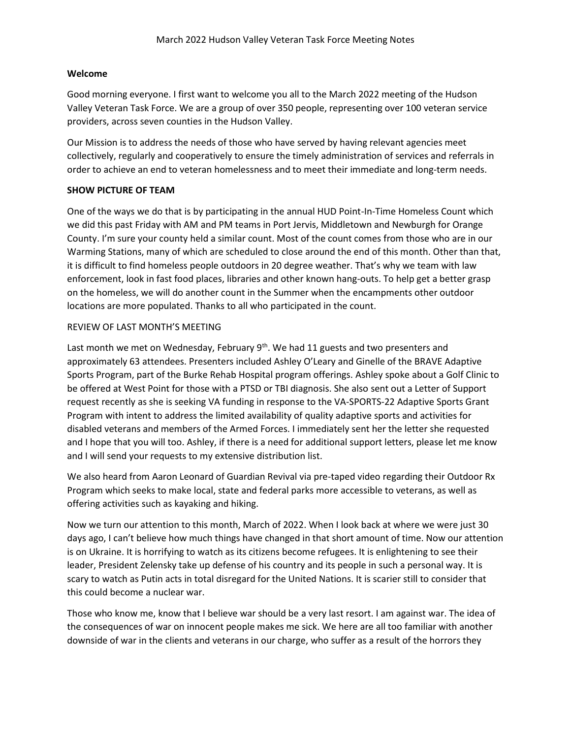### **Welcome**

Good morning everyone. I first want to welcome you all to the March 2022 meeting of the Hudson Valley Veteran Task Force. We are a group of over 350 people, representing over 100 veteran service providers, across seven counties in the Hudson Valley.

Our Mission is to address the needs of those who have served by having relevant agencies meet collectively, regularly and cooperatively to ensure the timely administration of services and referrals in order to achieve an end to veteran homelessness and to meet their immediate and long-term needs.

## **SHOW PICTURE OF TEAM**

One of the ways we do that is by participating in the annual HUD Point-In-Time Homeless Count which we did this past Friday with AM and PM teams in Port Jervis, Middletown and Newburgh for Orange County. I'm sure your county held a similar count. Most of the count comes from those who are in our Warming Stations, many of which are scheduled to close around the end of this month. Other than that, it is difficult to find homeless people outdoors in 20 degree weather. That's why we team with law enforcement, look in fast food places, libraries and other known hang-outs. To help get a better grasp on the homeless, we will do another count in the Summer when the encampments other outdoor locations are more populated. Thanks to all who participated in the count.

#### REVIEW OF LAST MONTH'S MEETING

Last month we met on Wednesday, February  $9<sup>th</sup>$ . We had 11 guests and two presenters and approximately 63 attendees. Presenters included Ashley O'Leary and Ginelle of the BRAVE Adaptive Sports Program, part of the Burke Rehab Hospital program offerings. Ashley spoke about a Golf Clinic to be offered at West Point for those with a PTSD or TBI diagnosis. She also sent out a Letter of Support request recently as she is seeking VA funding in response to the VA-SPORTS-22 Adaptive Sports Grant Program with intent to address the limited availability of quality adaptive sports and activities for disabled veterans and members of the Armed Forces. I immediately sent her the letter she requested and I hope that you will too. Ashley, if there is a need for additional support letters, please let me know and I will send your requests to my extensive distribution list.

We also heard from Aaron Leonard of Guardian Revival via pre-taped video regarding their Outdoor Rx Program which seeks to make local, state and federal parks more accessible to veterans, as well as offering activities such as kayaking and hiking.

Now we turn our attention to this month, March of 2022. When I look back at where we were just 30 days ago, I can't believe how much things have changed in that short amount of time. Now our attention is on Ukraine. It is horrifying to watch as its citizens become refugees. It is enlightening to see their leader, President Zelensky take up defense of his country and its people in such a personal way. It is scary to watch as Putin acts in total disregard for the United Nations. It is scarier still to consider that this could become a nuclear war.

Those who know me, know that I believe war should be a very last resort. I am against war. The idea of the consequences of war on innocent people makes me sick. We here are all too familiar with another downside of war in the clients and veterans in our charge, who suffer as a result of the horrors they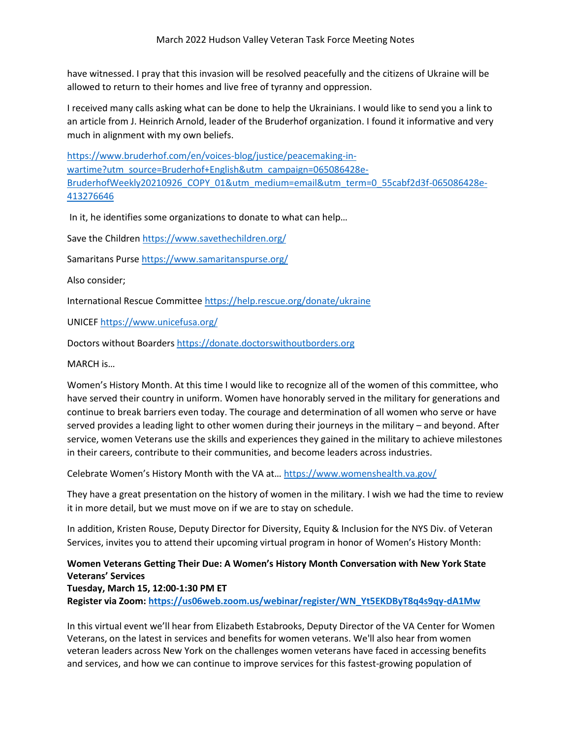have witnessed. I pray that this invasion will be resolved peacefully and the citizens of Ukraine will be allowed to return to their homes and live free of tyranny and oppression.

I received many calls asking what can be done to help the Ukrainians. I would like to send you a link to an article from J. Heinrich Arnold, leader of the Bruderhof organization. I found it informative and very much in alignment with my own beliefs.

[https://www.bruderhof.com/en/voices-blog/justice/peacemaking-in](https://www.bruderhof.com/en/voices-blog/justice/peacemaking-in-wartime?utm_source=Bruderhof+English&utm_campaign=065086428e-BruderhofWeekly20210926_COPY_01&utm_medium=email&utm_term=0_55cabf2d3f-065086428e-413276646)[wartime?utm\\_source=Bruderhof+English&utm\\_campaign=065086428e-](https://www.bruderhof.com/en/voices-blog/justice/peacemaking-in-wartime?utm_source=Bruderhof+English&utm_campaign=065086428e-BruderhofWeekly20210926_COPY_01&utm_medium=email&utm_term=0_55cabf2d3f-065086428e-413276646)[BruderhofWeekly20210926\\_COPY\\_01&utm\\_medium=email&utm\\_term=0\\_55cabf2d3f-065086428e-](https://www.bruderhof.com/en/voices-blog/justice/peacemaking-in-wartime?utm_source=Bruderhof+English&utm_campaign=065086428e-BruderhofWeekly20210926_COPY_01&utm_medium=email&utm_term=0_55cabf2d3f-065086428e-413276646)[413276646](https://www.bruderhof.com/en/voices-blog/justice/peacemaking-in-wartime?utm_source=Bruderhof+English&utm_campaign=065086428e-BruderhofWeekly20210926_COPY_01&utm_medium=email&utm_term=0_55cabf2d3f-065086428e-413276646)

In it, he identifies some organizations to donate to what can help…

Save the Childre[n https://www.savethechildren.org/](https://www.savethechildren.org/)

Samaritans Purse<https://www.samaritanspurse.org/>

Also consider;

International Rescue Committe[e https://help.rescue.org/donate/ukraine](https://help.rescue.org/donate/ukraine)

UNICE[F https://www.unicefusa.org/](https://www.unicefusa.org/)

Doctors without Boarders [https://donate.doctorswithoutborders.org](https://donate.doctorswithoutborders.org/)

MARCH is…

Women's History Month. At this time I would like to recognize all of the women of this committee, who have served their country in uniform. Women have honorably served in the military for generations and continue to break barriers even today. The courage and determination of all women who serve or have served provides a leading light to other women during their journeys in the military – and beyond. After service, women Veterans use the skills and experiences they gained in the military to achieve milestones in their careers, contribute to their communities, and become leaders across industries.

Celebrate Women's History Month with the VA at… <https://www.womenshealth.va.gov/>

They have a great presentation on the history of women in the military. I wish we had the time to review it in more detail, but we must move on if we are to stay on schedule.

In addition, Kristen Rouse, Deputy Director for Diversity, Equity & Inclusion for the NYS Div. of Veteran Services, invites you to attend their upcoming virtual program in honor of Women's History Month:

# **Women Veterans Getting Their Due: A Women's History Month Conversation with New York State Veterans' Services**

**Tuesday, March 15, 12:00-1:30 PM ET**

**Register via Zoom: [https://us06web.zoom.us/webinar/register/WN\\_Yt5EKDByT8q4s9qy-dA1Mw](https://us06web.zoom.us/webinar/register/WN_Yt5EKDByT8q4s9qy-dA1Mw)**

In this virtual event we'll hear from Elizabeth Estabrooks, Deputy Director of the VA Center for Women Veterans, on the latest in services and benefits for women veterans. We'll also hear from women veteran leaders across New York on the challenges women veterans have faced in accessing benefits and services, and how we can continue to improve services for this fastest-growing population of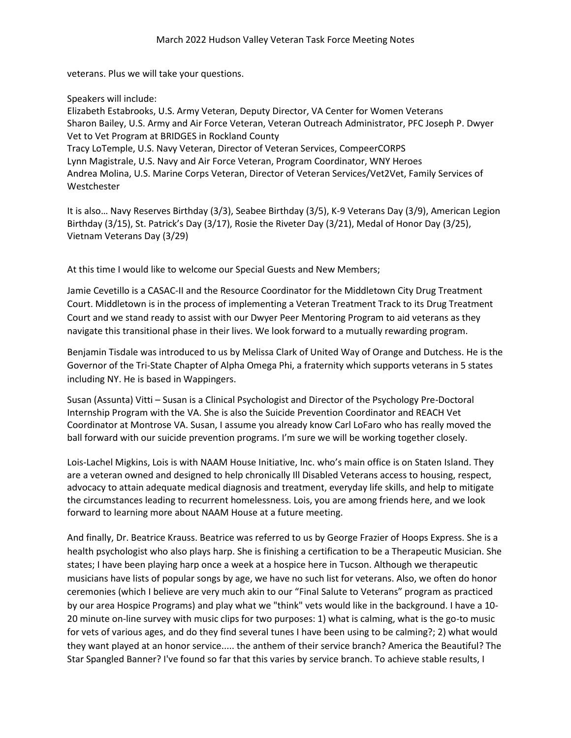veterans. Plus we will take your questions.

Speakers will include:

Elizabeth Estabrooks, U.S. Army Veteran, Deputy Director, VA Center for Women Veterans Sharon Bailey, U.S. Army and Air Force Veteran, Veteran Outreach Administrator, PFC Joseph P. Dwyer Vet to Vet Program at BRIDGES in Rockland County Tracy LoTemple, U.S. Navy Veteran, Director of Veteran Services, CompeerCORPS Lynn Magistrale, U.S. Navy and Air Force Veteran, Program Coordinator, WNY Heroes Andrea Molina, U.S. Marine Corps Veteran, Director of Veteran Services/Vet2Vet, Family Services of Westchester

It is also… Navy Reserves Birthday (3/3), Seabee Birthday (3/5), K-9 Veterans Day (3/9), American Legion Birthday (3/15), St. Patrick's Day (3/17), Rosie the Riveter Day (3/21), Medal of Honor Day (3/25), Vietnam Veterans Day (3/29)

At this time I would like to welcome our Special Guests and New Members;

Jamie Cevetillo is a CASAC-II and the Resource Coordinator for the Middletown City Drug Treatment Court. Middletown is in the process of implementing a Veteran Treatment Track to its Drug Treatment Court and we stand ready to assist with our Dwyer Peer Mentoring Program to aid veterans as they navigate this transitional phase in their lives. We look forward to a mutually rewarding program.

Benjamin Tisdale was introduced to us by Melissa Clark of United Way of Orange and Dutchess. He is the Governor of the Tri-State Chapter of Alpha Omega Phi, a fraternity which supports veterans in 5 states including NY. He is based in Wappingers.

Susan (Assunta) Vitti – Susan is a Clinical Psychologist and Director of the Psychology Pre-Doctoral Internship Program with the VA. She is also the Suicide Prevention Coordinator and REACH Vet Coordinator at Montrose VA. Susan, I assume you already know Carl LoFaro who has really moved the ball forward with our suicide prevention programs. I'm sure we will be working together closely.

Lois-Lachel Migkins, Lois is with NAAM House Initiative, Inc. who's main office is on Staten Island. They are a veteran owned and designed to help chronically Ill Disabled Veterans access to housing, respect, advocacy to attain adequate medical diagnosis and treatment, everyday life skills, and help to mitigate the circumstances leading to recurrent homelessness. Lois, you are among friends here, and we look forward to learning more about NAAM House at a future meeting.

And finally, Dr. Beatrice Krauss. Beatrice was referred to us by George Frazier of Hoops Express. She is a health psychologist who also plays harp. She is finishing a certification to be a Therapeutic Musician. She states; I have been playing harp once a week at a hospice here in Tucson. Although we therapeutic musicians have lists of popular songs by age, we have no such list for veterans. Also, we often do honor ceremonies (which I believe are very much akin to our "Final Salute to Veterans" program as practiced by our area Hospice Programs) and play what we "think" vets would like in the background. I have a 10- 20 minute on-line survey with music clips for two purposes: 1) what is calming, what is the go-to music for vets of various ages, and do they find several tunes I have been using to be calming?; 2) what would they want played at an honor service..... the anthem of their service branch? America the Beautiful? The Star Spangled Banner? I've found so far that this varies by service branch. To achieve stable results, I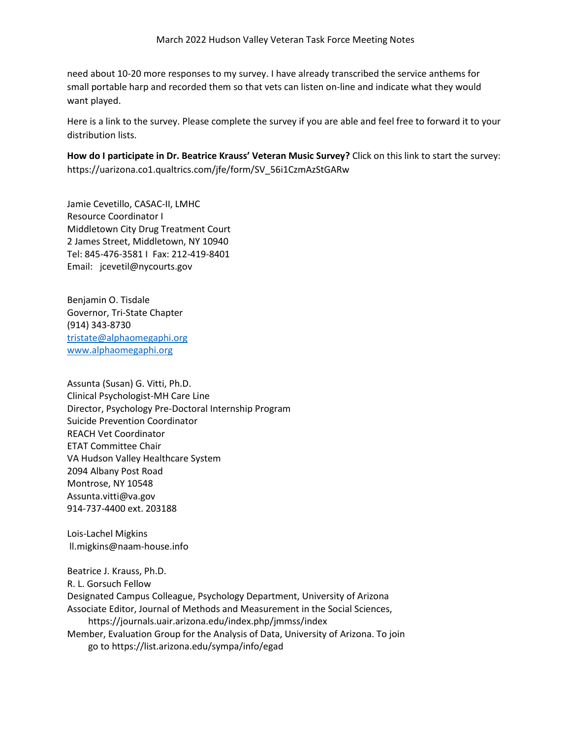need about 10-20 more responses to my survey. I have already transcribed the service anthems for small portable harp and recorded them so that vets can listen on-line and indicate what they would want played.

Here is a link to the survey. Please complete the survey if you are able and feel free to forward it to your distribution lists.

**How do I participate in Dr. Beatrice Krauss' Veteran Music Survey?** Click on this link to start the survey: [https://uarizona.co1.qualtrics.com/jfe/form/SV\\_56i1CzmAzStGARw](https://uarizona.co1.qualtrics.com/jfe/form/SV_56i1CzmAzStGARw)

Jamie Cevetillo, CASAC-II, LMHC Resource Coordinator I Middletown City Drug Treatment Court 2 James Street, Middletown, NY 10940 Tel: 845-476-3581 I Fax: 212-419-8401 Email: [jcevetil@nycourts.gov](mailto:jcevetil@nycourts.gov)

Benjamin O. Tisdale Governor, Tri-State Chapter (914) 343-8730 [tristate@alphaomegaphi.org](mailto:tristate@alphaomegaphi.org) [www.alphaomegaphi.org](http://www.alphaomegaphi.org/)

Assunta (Susan) G. Vitti, Ph.D. Clinical Psychologist-MH Care Line Director, Psychology Pre-Doctoral Internship Program Suicide Prevention Coordinator REACH Vet Coordinator ETAT Committee Chair VA Hudson Valley Healthcare System 2094 Albany Post Road Montrose, NY 10548 [Assunta.vitti@va.gov](mailto:Assunta.vitti@va.gov) 914-737-4400 ext. 203188

Lois-Lachel Migkins [ll.migkins@naam-house.info](mailto:ll.migkins@naam-house.info)

Beatrice J. Krauss, Ph.D. R. L. Gorsuch Fellow Designated Campus Colleague, Psychology Department, University of Arizona Associate Editor, Journal of Methods and Measurement in the Social Sciences, <https://journals.uair.arizona.edu/index.php/jmmss/index> Member, Evaluation Group for the Analysis of Data, University of Arizona. To join go to <https://list.arizona.edu/sympa/info/egad>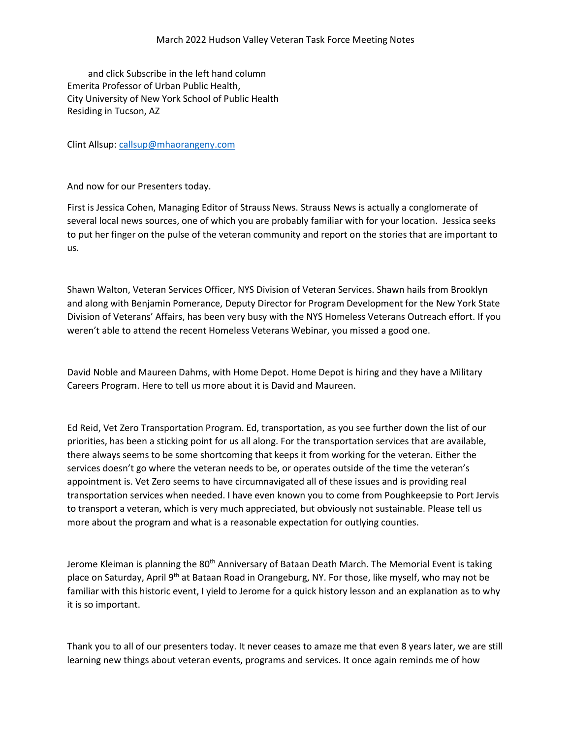and click Subscribe in the left hand column Emerita Professor of Urban Public Health, City University of New York School of Public Health Residing in Tucson, AZ

Clint Allsup[: callsup@mhaorangeny.com](mailto:callsup@mhaorangeny.com)

And now for our Presenters today.

First is Jessica Cohen, Managing Editor of Strauss News. Strauss News is actually a conglomerate of several local news sources, one of which you are probably familiar with for your location. Jessica seeks to put her finger on the pulse of the veteran community and report on the stories that are important to us.

Shawn Walton, Veteran Services Officer, NYS Division of Veteran Services. Shawn hails from Brooklyn and along with Benjamin Pomerance, Deputy Director for Program Development for the New York State Division of Veterans' Affairs, has been very busy with the NYS Homeless Veterans Outreach effort. If you weren't able to attend the recent Homeless Veterans Webinar, you missed a good one.

David Noble and Maureen Dahms, with Home Depot. Home Depot is hiring and they have a Military Careers Program. Here to tell us more about it is David and Maureen.

Ed Reid, Vet Zero Transportation Program. Ed, transportation, as you see further down the list of our priorities, has been a sticking point for us all along. For the transportation services that are available, there always seems to be some shortcoming that keeps it from working for the veteran. Either the services doesn't go where the veteran needs to be, or operates outside of the time the veteran's appointment is. Vet Zero seems to have circumnavigated all of these issues and is providing real transportation services when needed. I have even known you to come from Poughkeepsie to Port Jervis to transport a veteran, which is very much appreciated, but obviously not sustainable. Please tell us more about the program and what is a reasonable expectation for outlying counties.

Jerome Kleiman is planning the 80<sup>th</sup> Anniversary of Bataan Death March. The Memorial Event is taking place on Saturday, April 9<sup>th</sup> at Bataan Road in Orangeburg, NY. For those, like myself, who may not be familiar with this historic event, I yield to Jerome for a quick history lesson and an explanation as to why it is so important.

Thank you to all of our presenters today. It never ceases to amaze me that even 8 years later, we are still learning new things about veteran events, programs and services. It once again reminds me of how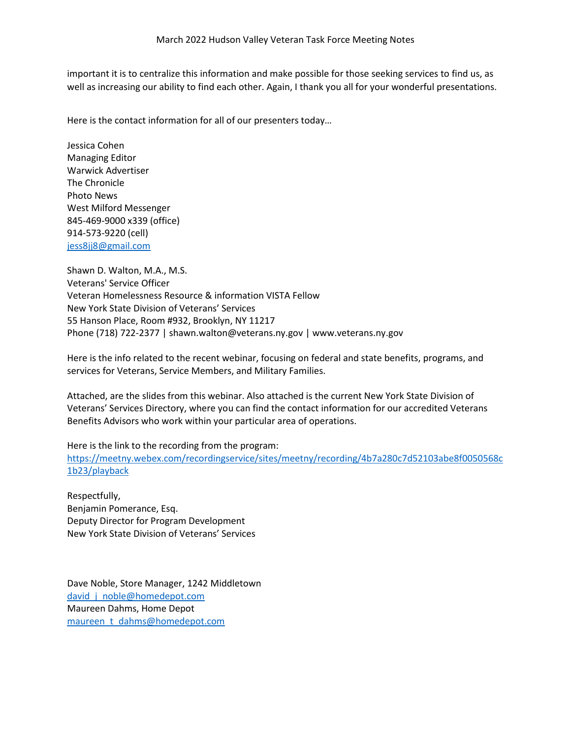important it is to centralize this information and make possible for those seeking services to find us, as well as increasing our ability to find each other. Again, I thank you all for your wonderful presentations.

Here is the contact information for all of our presenters today…

Jessica Cohen Managing Editor Warwick Advertiser The Chronicle Photo News West Milford Messenger 845-469-9000 x339 (office) 914-573-9220 (cell) [jess8jj8@gmail.com](mailto:jess8jj8@gmail.com)

Shawn D. Walton, M.A., M.S. Veterans' Service Officer Veteran Homelessness Resource & information VISTA Fellow New York State Division of Veterans' Services 55 Hanson Place, Room #932, Brooklyn, NY 11217 Phone (718) 722-2377 | [shawn.walton@veterans.ny.gov](mailto:shawn.walton@veterans.ny.gov) | [www.veterans.ny.gov](http://www.veterans.ny.gov/)

Here is the info related to the recent webinar, focusing on federal and state benefits, programs, and services for Veterans, Service Members, and Military Families.

Attached, are the slides from this webinar. Also attached is the current New York State Division of Veterans' Services Directory, where you can find the contact information for our accredited Veterans Benefits Advisors who work within your particular area of operations.

Here is the link to the recording from the program: [https://meetny.webex.com/recordingservice/sites/meetny/recording/4b7a280c7d52103abe8f0050568c](https://meetny.webex.com/recordingservice/sites/meetny/recording/4b7a280c7d52103abe8f0050568c1b23/playback) [1b23/playback](https://meetny.webex.com/recordingservice/sites/meetny/recording/4b7a280c7d52103abe8f0050568c1b23/playback)

Respectfully, Benjamin Pomerance, Esq. Deputy Director for Program Development New York State Division of Veterans' Services

Dave Noble, Store Manager, 1242 Middletown david j noble@homedepot.com Maureen Dahms, Home Depot [maureen\\_t\\_dahms@homedepot.com](mailto:maureen_t_dahms@homedepot.com)